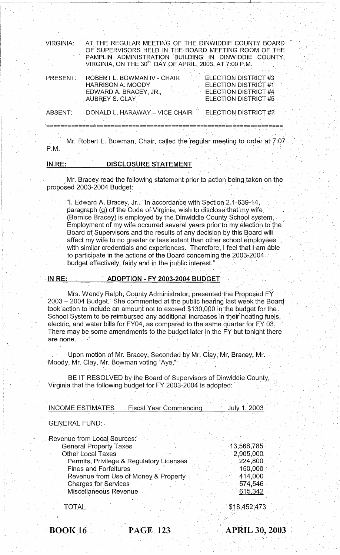| <b>VIRGINIA:</b> | AT THE REGULAR MEETING OF THE DINWIDDIE COUNTY BOARD<br>OF SUPERVISORS HELD IN THE BOARD MEETING ROOM OF THE<br>PAMPLIN ADMINISTRATION BUILDING IN DINWIDDIE COUNTY,<br>VIRGINIA, ON THE 30 <sup>th</sup> DAY OF APRIL, 2003, AT 7:00 P.M. |
|------------------|--------------------------------------------------------------------------------------------------------------------------------------------------------------------------------------------------------------------------------------------|
| PRESENT:         | ELECTION DISTRICT #3<br>ROBERT L. BOWMAN IV - CHAIR<br>ELECTION DISTRICT #1<br><b>HARRISON A: MOODY</b><br>ELECTION DISTRICT #4<br>EDWARD A. BRACEY, JR.,<br>AUBREY S. CLAY<br>ELECTION DISTRICT #5                                        |
| ABSENT:          | DONALD L. HARAWAY - VICE CHAIR [ ELECTION DISTRICT #2                                                                                                                                                                                      |
|                  |                                                                                                                                                                                                                                            |

Mr. Robert L. Bowman, Chair, called the regular meeting to order at 7:07 P.M.

# IN.RE:' **DISCLOSURE STATEMENT**

---------'~---'---'\_c\_~-- ---- --

Mr. Bracey read the following statement prior to action being taken on the proposed 2003-2004 Budget:

'''I, 'Edward A. Bracey, Jr., "In accordance with Section 2.1-639-14, paragraph (g) of the Code of Virginia, wish to disclose that my wife (Bernice Bracey) is employed by the Dinwiddie County School system. Employment of my wife occurred several years prior to my election to the Board of Supervisors and the results of any decision by this Board will affect my wife to no greater or less extent than other school employees with similar credentials and experiences. Therefore, I feel that I am able to participate in the actions of the Board concerning the 2003-2004 budget effectively, fairly and in the public interest."

# ,IN **RE:** , **ADOPTION - FY 2003-2004 BUDGET'**

Mrs. Wendy Ralph, County Administrator, presented the Proposed FY  $2003 - 2004$  Budget. She commented at the public hearing last week the Board took action to include an amount not to exceed \$130,000 in the budget for the. School System to be reimbursed any additional increases in their heating fuels,  $\alpha$  electric, and water bills for FY04, as compared to the same quarter for FY 03. There may be some amendments to the budget later in the FY but tonight there are none.

Upon motion of Mr. Bracey, Seconded by Mr. Clay, Mr. Bracey, Mr. Moody, Mr. Clay, Mr. Bowman voting "Aye;"

BE IT RESOLVED by the Board of Supervisors of Dinwiddie County, Virginia that the following budget for FY 2003-2004 is adopted:

| <b>INCOME ESTIMATES</b> |                        |              |
|-------------------------|------------------------|--------------|
|                         | Fiscal Year Commencing | July 1, 2003 |
|                         |                        |              |
|                         |                        |              |
|                         |                        |              |

### GENERAL FUND:,

| Revenue from Local Sources:              |            |
|------------------------------------------|------------|
| <b>General Property Taxes</b>            | 13,568,785 |
| <b>Other Local Taxes</b>                 | 2,905,000  |
| Permits, Privilege & Regulatory Licenses | 224,800    |
| <b>Fines and Forfeitures</b>             | 150,000    |
| Revenue from Use of Money & Property     | 414,000    |
| <b>Charges for Services</b>              | $-574,546$ |
| Miscellaneous Revenue                    | 615,342    |
|                                          |            |

TOTAL

BOOK 16 **PAGE 123** 

**APRIL** 30~ **2003** 

\$18,452;473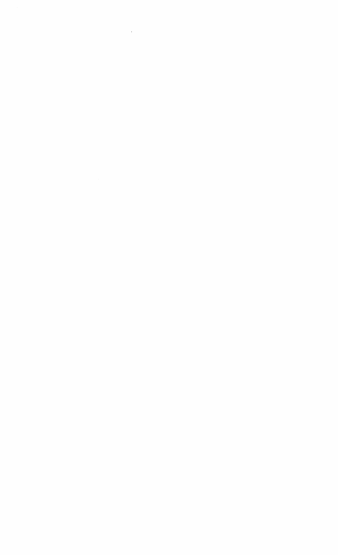$\mathcal{L}^{\text{max}}_{\text{max}}$  and  $\mathcal{L}^{\text{max}}_{\text{max}}$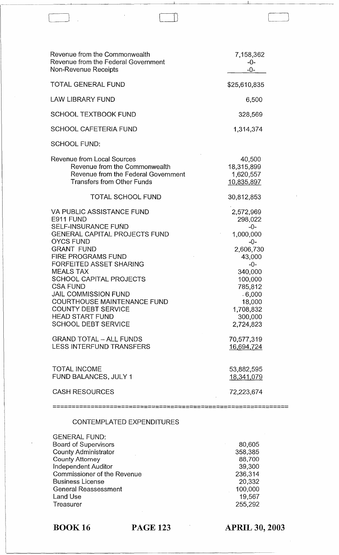| Revenue from the Commonwealth<br>Revenue from the Federal Government<br>Non-Revenue Receipts                                                                                                                                                                                                                                                                                                                                                                                                                           | 7,158,362<br>-0-<br>-0-                                                                                                                                                                               |
|------------------------------------------------------------------------------------------------------------------------------------------------------------------------------------------------------------------------------------------------------------------------------------------------------------------------------------------------------------------------------------------------------------------------------------------------------------------------------------------------------------------------|-------------------------------------------------------------------------------------------------------------------------------------------------------------------------------------------------------|
| TOTAL GENERAL FUND                                                                                                                                                                                                                                                                                                                                                                                                                                                                                                     | \$25,610,835                                                                                                                                                                                          |
| <b>LAW LIBRARY FUND</b>                                                                                                                                                                                                                                                                                                                                                                                                                                                                                                | 6,500                                                                                                                                                                                                 |
| <b>SCHOOL TEXTBOOK FUND</b>                                                                                                                                                                                                                                                                                                                                                                                                                                                                                            | 328,569                                                                                                                                                                                               |
| <b>SCHOOL CAFETERIA FUND</b>                                                                                                                                                                                                                                                                                                                                                                                                                                                                                           | 1,314,374                                                                                                                                                                                             |
| <b>SCHOOL FUND:</b>                                                                                                                                                                                                                                                                                                                                                                                                                                                                                                    |                                                                                                                                                                                                       |
| <b>Revenue from Local Sources</b><br>Revenue from the Commonwealth<br>Revenue from the Federal Government<br><b>Transfers from Other Funds</b>                                                                                                                                                                                                                                                                                                                                                                         | 40,500<br>18,315,899<br>1,620,557<br>10,835,897                                                                                                                                                       |
| <b>TOTAL SCHOOL FUND</b>                                                                                                                                                                                                                                                                                                                                                                                                                                                                                               | 30,812,853                                                                                                                                                                                            |
| <b>VA PUBLIC ASSISTANCE FUND</b><br>E911 FUND<br>SELF-INSURANCE FUND<br>GENERAL CAPITAL PROJECTS FUND<br><b>OYCS FUND</b><br><b>GRANT FUND</b><br><b>FIRE PROGRAMS FUND</b><br><b>FORFEITED ASSET SHARING</b><br><b>MEALS TAX</b><br><b>SCHOOL CAPITAL PROJECTS</b><br><b>CSA FUND</b><br><b>JAIL COMMISSION FUND</b><br><b>COURTHOUSE MAINTENANCE FUND</b><br><b>COUNTY DEBT SERVICE</b><br><b>HEAD START FUND</b><br><b>SCHOOL DEBT SERVICE</b><br><b>GRAND TOTAL - ALL FUNDS</b><br><b>LESS INTERFUND TRANSFERS</b> | 2,572,969<br>298,022<br>$-0-$<br>1,000,000<br>-0-<br>2,606,730<br>43,000<br>-0-<br>340,000<br>100,000<br>785,812<br>.6,000<br>18,000<br>1,708,832<br>300,000<br>2,724,823<br>70,577,319<br>16,694,724 |
| <b>TOTAL INCOME</b><br>FUND BALANCES, JULY 1<br><b>CASH RESOURCES</b>                                                                                                                                                                                                                                                                                                                                                                                                                                                  | 53,882,595<br>18,341,079<br>72,223,674                                                                                                                                                                |

~-~--~--~~ ---~---~-~-------"---~-----------'-'--~--------

T

[\_1

# CONTEMPLATED EXPENDITURES

| GENERAL FUND:                      |         |
|------------------------------------|---------|
| Board of Supervisors               | 80,605  |
| <b>County Administrator</b>        | 358,385 |
| County Attorney                    | 88,700  |
| Independent Auditor                | 39,300  |
| <b>Commissioner of the Revenue</b> | 236,314 |
| <b>Business License</b>            | 20,332  |
| <b>General Reassessment</b>        | 100,000 |
| Land Use                           | 19,567  |
| Treasurer                          | 255,292 |
|                                    |         |

BOOK 16 **PAGE 123** 

**APRIL 30, 2003**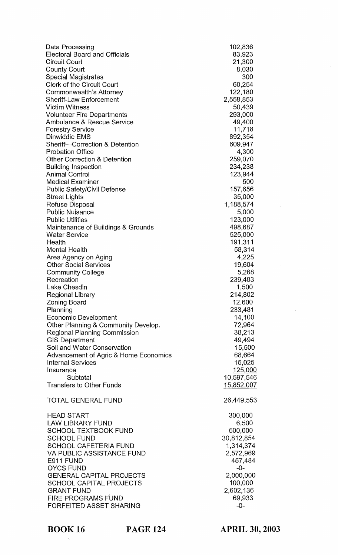| Data Processing                                                   | 102,836          |
|-------------------------------------------------------------------|------------------|
| Electoral Board and Officials                                     | 83,923           |
| Circuit Court                                                     | 21,300           |
| County Court                                                      | 8,030            |
| Special Magistrates                                               | 300              |
| <b>Clerk of the Circuit Court</b>                                 | 60,254           |
| Commonwealth's Attorney                                           | 122,180          |
| <b>Sheriff-Law Enforcement</b>                                    | 2,558,853        |
| Victim Witness                                                    | 50,439           |
| <b>Volunteer Fire Departments</b>                                 | 293,000          |
| Ambulance & Rescue Service                                        | 49,400           |
| <b>Forestry Service</b>                                           | 11,718           |
| Dinwiddie EMS                                                     | 892,354          |
| <b>Sheriff---Correction &amp; Detention</b>                       | 609,947          |
| <b>Probation Office</b>                                           | 4,300            |
| <b>Other Correction &amp; Detention</b>                           | 259,070          |
| <b>Building Inspection</b>                                        | 234,238          |
| <b>Animal Control</b>                                             | 123,944          |
| <b>Medical Examiner</b>                                           | 500              |
| <b>Public Safety/Civil Defense</b>                                | 157,656          |
| <b>Street Lights</b>                                              | 35,000           |
| Refuse Disposal                                                   | 1,188,574        |
| <b>Public Nuisance</b>                                            | 5,000            |
| <b>Public Utilities</b>                                           | 123,000          |
| Maintenance of Buildings & Grounds                                | 498,687          |
| <b>Water Service</b>                                              | 525,000          |
| Health                                                            | 191,311          |
| <b>Mental Health</b>                                              | 58,314           |
| Area Agency on Aging                                              | 4,225            |
| <b>Other Social Services</b>                                      | 19,604           |
| <b>Community College</b>                                          | 5,268            |
| Recreation<br>Lake Chesdin                                        | 239,483          |
|                                                                   | 1,500            |
| Regional Library                                                  | 214,802          |
| <b>Zoning Board</b>                                               | 12,600           |
| Planning                                                          | 233,481          |
| <b>Economic Development</b>                                       | 14,100           |
| Other Planning & Community Develop.                               | 72,964<br>38,213 |
| Regional Planning Commission                                      | 49,494           |
| <b>GIS Department</b><br>Soil and Water Conservation              | 15,500           |
|                                                                   | 68,664           |
| Advancement of Agric & Home Economics<br><b>Internal Services</b> | 15,025           |
| Insurance                                                         | 125,000          |
| Subtotal                                                          | 10,597,546       |
| <b>Transfers to Other Funds</b>                                   | 15,852,007       |
|                                                                   |                  |
| TOTAL GENERAL FUND                                                | 26,449,553       |
| <b>HEAD START</b>                                                 | 300,000          |
| <b>LAW LIBRARY FUND</b>                                           | 6,500            |
| <b>SCHOOL TEXTBOOK FUND</b>                                       | 500,000          |
| <b>SCHOOL FUND</b>                                                | 30,812,854       |
| <b>SCHOOL CAFETERIA FUND</b>                                      | 1,314,374        |
| VA PUBLIC ASSISTANCE FUND                                         | 2,572,969        |
| E911 FUND                                                         | 457,484          |
| <b>OYCS FUND</b>                                                  | -0-              |
| <b>GENERAL CAPITAL PROJECTS</b>                                   | 2,000,000        |
| <b>SCHOOL CAPITAL PROJECTS</b>                                    | 100,000          |
| <b>GRANT FUND</b>                                                 | 2,602,136        |
| <b>FIRE PROGRAMS FUND</b>                                         | 69,933           |
| <b>FORFEITED ASSET SHARING</b>                                    | $-0-$            |
|                                                                   |                  |

BOOK 16 **PAGE 124** 

**APRIL 30, 2003** 

 $\mathcal{L}^{\mathcal{L}}$ 

 $\bar{z}$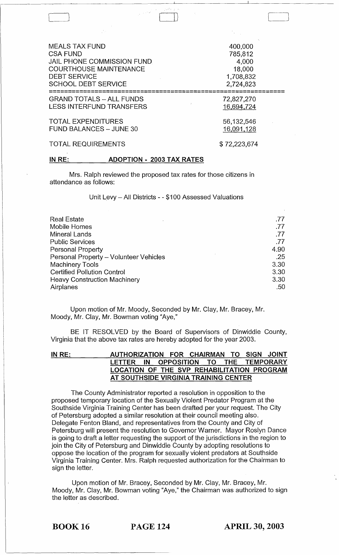| <b>MEALS TAX FUND</b>           | 400,000      |
|---------------------------------|--------------|
| <b>CSA FUND</b>                 | 785,812      |
| JAIL PHONE COMMISSION FUND      | 4,000        |
| <b>COURTHOUSE MAINTENANCE</b>   | 18,000       |
| <b>DEBT SERVICE</b>             | 1,708,832    |
| <b>SCHOOL DEBT SERVICE</b>      | 2,724,823    |
| <b>GRAND TOTALS - ALL FUNDS</b> | 72,827,270   |
| <b>LESS INTERFUND TRANSFERS</b> | 16,694,724   |
| <b>TOTAL EXPENDITURES</b>       | 56,132,546   |
| FUND BALANCES - JUNE 30         | 16,091,128   |
| <b>TOTAL REQUIREMENTS</b>       | \$72,223,674 |

':1 )

# **IN RE: ADOPTION - 2003 TAX RATES**

 $\overline{\Box}$ 

Mrs. Ralph reviewed the proposed tax rates for those citizens in attendance as follows:

## Unit Levy - All Districts - - \$100 Assessed Valuations

| .77  |
|------|
| .77  |
| .77  |
| .77  |
| 4.90 |
| .25  |
| 3.30 |
| 3.30 |
| 3.30 |
| .50  |
|      |

Upon motion of Mr. Moody, Seconded by Mr. Clay, Mr. Bracey, Mr. Moody, Mr. Clay, Mr. Bowman voting "Aye,"

BE IT RESOLVED by the Board of Supervisors of Dinwiddie County, Virginia that the above tax rates are hereby adopted for the year 2003.

|  | AUTHORIZATION FOR CHAIRMAN TO SIGN JOINT |  |                                                                                                                              |
|--|------------------------------------------|--|------------------------------------------------------------------------------------------------------------------------------|
|  |                                          |  |                                                                                                                              |
|  |                                          |  |                                                                                                                              |
|  |                                          |  |                                                                                                                              |
|  |                                          |  | LETTER IN OPPOSITION TO THE TEMPORARY<br>LOCATION OF THE SVP REHABILITATION PROGRAM<br>AT SOUTHSIDE VIRGINIA TRAINING CENTER |

The County Administrator reported a resolution in opposition to the proposed temporary location of the Sexually Violent Predator Program at the Southside Virginia Training Center has been drafted per your request. The City of Petersburg adopted a similar resolution at their council meeting also. Delegate Fenton Bland, and representatives from the County and City of Petersburg will present the resolution to Governor Warner. Mayor Roslyn Dance is going to draft a letter requesting the support of the jurisdictions in the region to join the City of Petersburg and Dinwiddie County by adopting resolutions to oppose the location of the program for sexually violent predators at Southside Virginia Training Center. Mrs. Ralph requested authorization for the Chairman to sign the letter.

Upon motion of Mr. Bracey, Seconded by Mr. Clay, Mr. Bracey, Mr. Moody, Mr. Clay, Mr. Bowman voting "Aye," the Chairman was authorized to sign the letter as described.

BOOK 16 **PAGE 124 APRIL 30, 2003**